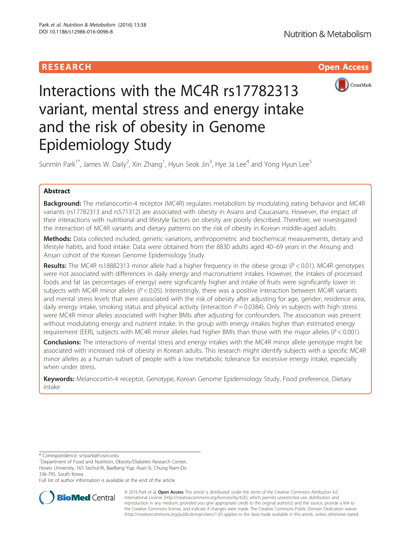# **RESEARCH CHILD CONTROL** CONTROL CONTROL CONTROL CONTROL CONTROL CONTROL CONTROL CONTROL CONTROL CONTROL CONTROL



# Interactions with the MC4R rs17782313 variant, mental stress and energy intake and the risk of obesity in Genome Epidemiology Study

Sunmin Park<sup>1\*</sup>, James W. Daily<sup>2</sup>, Xin Zhang<sup>1</sup>, Hyun Seok Jin<sup>3</sup>, Hye Ja Lee<sup>4</sup> and Yong Hyun Lee<sup>5</sup>

# Abstract

Background: The melanocortin-4 receptor (MC4R) regulates metabolism by modulating eating behavior and MC4R variants (rs17782313 and rs571312) are associated with obesity in Asians and Caucasians. However, the impact of their interactions with nutritional and lifestyle factors on obesity are poorly described. Therefore, we investigated the interaction of MC4R variants and dietary patterns on the risk of obesity in Korean middle-aged adults.

Methods: Data collected included, genetic variations, anthropometric and biochemical measurements, dietary and lifestyle habits, and food intake. Data were obtained from the 8830 adults aged 40–69 years in the Ansung and Ansan cohort of the Korean Genome Epidemiology Study.

**Results:** The MC4R rs18882313 minor allele had a higher frequency in the obese group ( $P < 0.01$ ). MC4R genotypes were not associated with differences in daily energy and macronutrient intakes. However, the intakes of processed foods and fat (as percentages of energy) were significantly higher and intake of fruits were significantly lower in subjects with MC4R minor alleles ( $P < 0.05$ ). Interestingly, there was a positive interaction between MC4R variants and mental stress levels that were associated with the risk of obesity after adjusting for age, gender, residence area, daily energy intake, smoking status and physical activity (interaction  $P = 0.0384$ ). Only in subjects with high stress were MC4R minor alleles associated with higher BMIs after adjusting for confounders. The association was present without modulating energy and nutrient intake. In the group with energy intakes higher than estimated energy requirement (EER), subjects with MC4R minor alleles had higher BMIs than those with the major alleles ( $P < 0.001$ ).

Conclusions: The interactions of mental stress and energy intakes with the MC4R minor allele genotype might be associated with increased risk of obesity in Korean adults. This research might identify subjects with a specific MC4R minor alleles as a human subset of people with a low metabolic tolerance for excessive energy intake, especially when under stress.

Keywords: Melanocortin-4 receptor, Genotype, Korean Genome Epidemiology Study, Food preference, Dietary intake

\* Correspondence: [smpark@hoseo.edu](mailto:smpark@hoseo.edu) <sup>1</sup>

<sup>1</sup>Department of Food and Nutrition, Obesity/Diabetes Research Center, Hoseo University, 165 Sechul-Ri, BaeBang-Yup, Asan-Si, Chung Nam-Do 336-795, South Korea

Full list of author information is available at the end of the article



© 2016 Park et al. Open Access This article is distributed under the terms of the Creative Commons Attribution 4.0 International License [\(http://creativecommons.org/licenses/by/4.0/](http://creativecommons.org/licenses/by/4.0/)), which permits unrestricted use, distribution, and reproduction in any medium, provided you give appropriate credit to the original author(s) and the source, provide a link to the Creative Commons license, and indicate if changes were made. The Creative Commons Public Domain Dedication waiver [\(http://creativecommons.org/publicdomain/zero/1.0/](http://creativecommons.org/publicdomain/zero/1.0/)) applies to the data made available in this article, unless otherwise stated.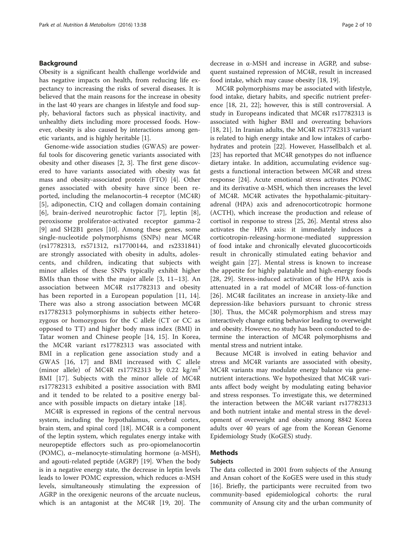# Background

Obesity is a significant health challenge worldwide and has negative impacts on health, from reducing life expectancy to increasing the risks of several diseases. It is believed that the main reasons for the increase in obesity in the last 40 years are changes in lifestyle and food supply, behavioral factors such as physical inactivity, and unhealthy diets including more processed foods. However, obesity is also caused by interactions among genetic variants, and is highly heritable [\[1](#page-9-0)].

Genome-wide association studies (GWAS) are powerful tools for discovering genetic variants associated with obesity and other diseases [\[2](#page-9-0), [3](#page-9-0)]. The first gene discovered to have variants associated with obesity was fat mass and obesity-associated protein (FTO) [[4\]](#page-9-0). Other genes associated with obesity have since been reported, including the melanocortin-4 receptor (MC4R) [[5\]](#page-9-0), adiponectin, C1Q and collagen domain containing [[6\]](#page-9-0), brain-derived neurotrophic factor [\[7](#page-9-0)], leptin [\[8](#page-9-0)], peroxisome proliferator-activated receptor gamma-2 [[9\]](#page-9-0) and SH2B1 genes [[10](#page-9-0)]. Among these genes, some single-nucleotide polymorphisms (SNPs) near MC4R (rs17782313, rs571312, rs17700144, and rs2331841) are strongly associated with obesity in adults, adolescents, and children, indicating that subjects with minor alleles of these SNPs typically exhibit higher BMIs than those with the major allele [[3, 11](#page-9-0)–[13](#page-9-0)]. An association between MC4R rs17782313 and obesity has been reported in a European population [\[11](#page-9-0), [14](#page-9-0)]. There was also a strong association between MC4R rs17782313 polymorphisms in subjects either heterozygous or homozygous for the C allele (CT or CC as opposed to TT) and higher body mass index (BMI) in Tatar women and Chinese people [\[14](#page-9-0), [15](#page-9-0)]. In Korea, the MC4R variant rs17782313 was associated with BMI in a replication gene association study and a GWAS [[16, 17\]](#page-9-0) and BMI increased with C allele (minor allele) of MC4R rs17782313 by 0.22  $\text{kg/m}^2$ BMI [[17\]](#page-9-0). Subjects with the minor allele of MC4R rs17782313 exhibited a positive association with BMI and it tended to be related to a positive energy balance with possible impacts on dietary intake [[18\]](#page-9-0).

MC4R is expressed in regions of the central nervous system, including the hypothalamus, cerebral cortex, brain stem, and spinal cord [[18](#page-9-0)]. MC4R is a component of the leptin system, which regulates energy intake with neuropeptide effectors such as pro-opiomelanocortin (POMC), α–melanocyte-stimulating hormone (α-MSH), and agouti-related peptide (AGRP) [\[19](#page-9-0)]. When the body is in a negative energy state, the decrease in leptin levels leads to lower POMC expression, which reduces α-MSH levels, simultaneously stimulating the expression of AGRP in the orexigenic neurons of the arcuate nucleus, which is an antagonist at the MC4R [\[19](#page-9-0), [20\]](#page-9-0). The

decrease in α-MSH and increase in AGRP, and subsequent sustained repression of MC4R, result in increased food intake, which may cause obesity [\[18, 19\]](#page-9-0).

MC4R polymorphisms may be associated with lifestyle, food intake, dietary habits, and specific nutrient preference [[18, 21](#page-9-0), [22](#page-9-0)]; however, this is still controversial. A study in Europeans indicated that MC4R rs17782313 is associated with higher BMI and overeating behaviors [[18, 21\]](#page-9-0). In Iranian adults, the MC4R rs17782313 variant is related to high energy intake and low intakes of carbohydrates and protein [\[22\]](#page-9-0). However, Hassellbalch et al. [[23\]](#page-9-0) has reported that MC4R genotypes do not influence dietary intake. In addition, accumulating evidence suggests a functional interaction between MC4R and stress response [\[24](#page-9-0)]. Acute emotional stress activates POMC and its derivative α-MSH, which then increases the level of MC4R. MC4R activates the hypothalamic-pituitaryadrenal (HPA) axis and adrenocorticotropic hormone (ACTH), which increase the production and release of cortisol in response to stress [\[25, 26](#page-9-0)]. Mental stress also activates the HPA axis: it immediately induces a corticotropin-releasing-hormone-mediated suppression of food intake and chronically elevated glucocorticoids result in chronically stimulated eating behavior and weight gain [[27](#page-9-0)]. Mental stress is known to increase the appetite for highly palatable and high-energy foods [[28](#page-9-0), [29\]](#page-9-0). Stress-induced activation of the HPA axis is attenuated in a rat model of MC4R loss-of-function [[26](#page-9-0)]. MC4R facilitates an increase in anxiety-like and depression-like behaviors pursuant to chronic stress [[30](#page-9-0)]. Thus, the MC4R polymorphism and stress may interactively change eating behavior leading to overweight and obesity. However, no study has been conducted to determine the interaction of MC4R polymorphisms and mental stress and nutrient intake.

Because MC4R is involved in eating behavior and stress and MC4R variants are associated with obesity, MC4R variants may modulate energy balance via genenutrient interactions. We hypothesized that MC4R variants affect body weight by modulating eating behavior and stress responses. To investigate this, we determined the interaction between the MC4R variant rs17782313 and both nutrient intake and mental stress in the development of overweight and obesity among 8842 Korea adults over 40 years of age from the Korean Genome Epidemiology Study (KoGES) study.

# Methods

# Subjects

The data collected in 2001 from subjects of the Ansung and Ansan cohort of the KoGES were used in this study [[16\]](#page-9-0). Briefly, the participants were recruited from two community-based epidemiological cohorts: the rural community of Ansung city and the urban community of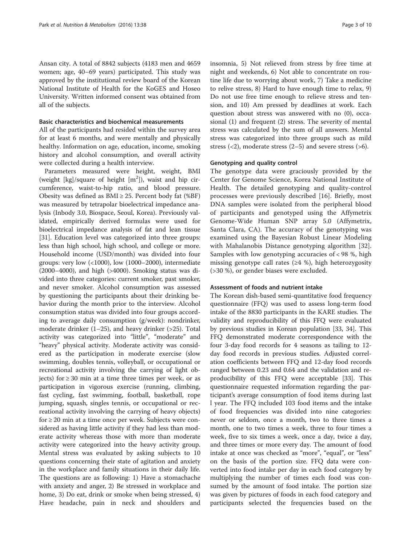Ansan city. A total of 8842 subjects (4183 men and 4659 women; age, 40–69 years) participated. This study was approved by the institutional review board of the Korean National Institute of Health for the KoGES and Hoseo University. Written informed consent was obtained from all of the subjects.

#### Basic characteristics and biochemical measurements

All of the participants had resided within the survey area for at least 6 months, and were mentally and physically healthy. Information on age, education, income, smoking history and alcohol consumption, and overall activity were collected during a health interview.

Parameters measured were height, weight, BMI (weight  $[kg]/square$  of height  $[m^2]$ ), waist and hip circumference, waist-to-hip ratio, and blood pressure. Obesity was defined as  $BMI \geq 25$ . Percent body fat (%BF) was measured by tetrapolar bioelectrical impedance analysis (Inbody 3.0, Biospace, Seoul, Korea). Previously validated, empirically derived formulas were used for bioelectrical impedance analysis of fat and lean tissue [[31\]](#page-9-0). Education level was categorized into three groups: less than high school, high school, and college or more. Household income (USD/month) was divided into four groups: very low (<1000), low (1000–2000), intermediate (2000–4000), and high (>4000). Smoking status was divided into three categories: current smoker, past smoker, and never smoker. Alcohol consumption was assessed by questioning the participants about their drinking behavior during the month prior to the interview. Alcohol consumption status was divided into four groups according to average daily consumption (g/week): nondrinker, moderate drinker  $(1-25)$ , and heavy drinker  $(>25)$ . Total activity was categorized into "little", "moderate" and "heavy" physical activity. Moderate activity was considered as the participation in moderate exercise (slow swimming, doubles tennis, volleyball, or occupational or recreational activity involving the carrying of light objects) for ≥ 30 min at a time three times per week, or as participation in vigorous exercise (running, climbing, fast cycling, fast swimming, football, basketball, rope jumping, squash, singles tennis, or occupational or recreational activity involving the carrying of heavy objects) for ≥ 20 min at a time once per week. Subjects were considered as having little activity if they had less than moderate activity whereas those with more than moderate activity were categorized into the heavy activity group. Mental stress was evaluated by asking subjects to 10 questions concerning their state of agitation and anxiety in the workplace and family situations in their daily life. The questions are as following: 1) Have a stomachache with anxiety and anger, 2) Be stressed in workplace and home, 3) Do eat, drink or smoke when being stressed, 4) Have headache, pain in neck and shoulders and insomnia, 5) Not relieved from stress by free time at night and weekends, 6) Not able to concentrate on routine life due to worrying about work, 7) Take a medicine to relive stress, 8) Hard to have enough time to relax, 9) Do not use free time enough to relieve stress and tension, and 10) Am pressed by deadlines at work. Each question about stress was answered with no (0), occasional (1) and frequent (2) stress. The severity of mental stress was calculated by the sum of all answers. Mental stress was categorized into three groups such as mild stress  $(\leq 2)$ , moderate stress  $(2-5)$  and severe stress  $(\geq 6)$ .

#### Genotyping and quality control

The genotype data were graciously provided by the Center for Genome Science, Korea National Institute of Health. The detailed genotyping and quality-control processes were previously described [\[16](#page-9-0)]. Briefly, most DNA samples were isolated from the peripheral blood of participants and genotyped using the Affymetrix Genome-Wide Human SNP array 5.0 (Affymetrix, Santa Clara, CA). The accuracy of the genotyping was examined using the Bayesian Robust Linear Modeling with Mahalanobis Distance genotyping algorithm [\[32](#page-9-0)]. Samples with low genotyping accuracies of < 98 %, high missing genotype call rates ( $\geq 4$  %), high heterozygosity (>30 %), or gender biases were excluded.

#### Assessment of foods and nutrient intake

The Korean dish-based semi-quantitative food frequency questionnaire (FFQ) was used to assess long-term food intake of the 8830 participants in the KARE studies. The validity and reproducibility of this FFQ were evaluated by previous studies in Korean population [[33](#page-9-0), [34](#page-9-0)]. This FFQ demonstrated moderate correspondence with the four 3-day food records for 4 seasons as tailing to 12 day food records in previous studies. Adjusted correlation coefficients between FFQ and 12-day food records ranged between 0.23 and 0.64 and the validation and reproducibility of this FFQ were acceptable [\[33\]](#page-9-0). This questionnaire requested information regarding the participant's average consumption of food items during last l year. The FFQ included 103 food items and the intake of food frequencies was divided into nine categories: never or seldom, once a month, two to three times a month, one to two times a week, three to four times a week, five to six times a week, once a day, twice a day, and three times or more every day. The amount of food intake at once was checked as "more", "equal", or "less" on the basis of the portion size. FFQ data were converted into food intake per day in each food category by multiplying the number of times each food was consumed by the amount of food intake. The portion size was given by pictures of foods in each food category and participants selected the frequencies based on the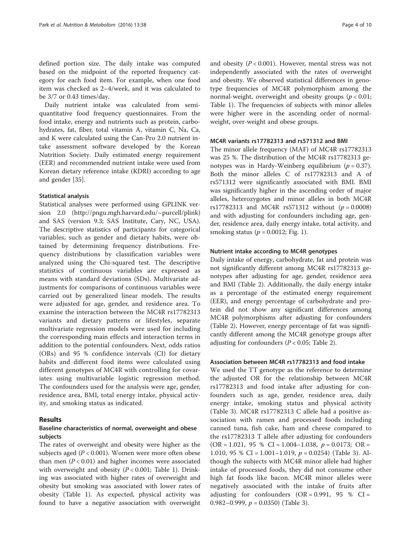defined portion size. The daily intake was computed based on the midpoint of the reported frequency category for each food item. For example, when one food item was checked as 2–4/week, and it was calculated to be 3/7 or 0.43 times/day.

Daily nutrient intake was calculated from semiquantitative food frequency questionnaires. From the food intake, energy and nutrients such as protein, carbohydrates, fat, fiber, total vitamin A, vitamin C, Na, Ca, and K were calculated using the Can-Pro 2.0 nutrient intake assessment software developed by the Korean Nutrition Society. Daily estimated energy requirement (EER) and recommended nutrient intake were used from Korean dietary reference intake (KDRI) according to age and gender [[35](#page-9-0)].

#### Statistical analysis

Statistical analyses were performed using GPLINK version 2.0 [\(http://pngu.mgh.harvard.edu/~purcell/plink](http://pngu.mgh.harvard.edu/~purcell/plink)) and SAS (version 9.3; SAS Institute, Cary, NC, USA). The descriptive statistics of participants for categorical variables, such as gender and dietary habits, were obtained by determining frequency distributions. Frequency distributions by classification variables were analyzed using the Chi-squared test. The descriptive statistics of continuous variables are expressed as means with standard deviations (SDs). Multivariate adjustments for comparisons of continuous variables were carried out by generalized linear models. The results were adjusted for age, gender, and residence area. To examine the interaction between the MC4R rs17782313 variants and dietary patterns or lifestyles, separate multivariate regression models were used for including the corresponding main effects and interaction terms in addition to the potential confounders. Next, odds ratios (ORs) and 95 % confidence intervals (CI) for dietary habits and different food items were calculated using different genotypes of MC4R with controlling for covariates using multivariable logistic regression method. The confounders used for the analysis were age, gender, residence area, BMI, total energy intake, physical activity, and smoking status as indicated.

#### Results

# Baseline characteristics of normal, overweight and obese subjects

The rates of overweight and obesity were higher as the subjects aged  $(P < 0.001)$ . Women were more often obese than men  $(P < 0.01)$  and higher incomes were associated with overweight and obesity  $(P < 0.001$ ; Table [1](#page-4-0)). Drinking was associated with higher rates of overweight and obesity but smoking was associated with lower rates of obesity (Table [1\)](#page-4-0). As expected, physical activity was found to have a negative association with overweight and obesity  $(P < 0.001)$ . However, mental stress was not independently associated with the rates of overweight and obesity. We observed statistical differences in genotype frequencies of MC4R polymorphism among the normal-weight, overweight and obesity groups ( $p < 0.01$ ; Table [1\)](#page-4-0). The frequencies of subjects with minor alleles were higher were in the ascending order of normalweight, over-weight and obese groups.

#### MC4R variants rs17782313 and rs571312 and BMI

The minor allele frequency (MAF) of MC4R rs17782313 was 25 %. The distribution of the MC4R rs17782313 genotypes was in Hardy-Weinberg equilibrium ( $p = 0.37$ ). Both the minor alleles C of rs17782313 and A of rs571312 were significantly associated with BMI. BMI was significantly higher in the ascending order of major alleles, heterozygotes and minor alleles in both MC4R rs17782313 and MC4R rs571312 without  $(p = 0.0008)$ and with adjusting for confounders including age, gender, residence area, daily energy intake, total activity, and smoking status ( $p = 0.0012$ ; Fig. [1\)](#page-4-0).

## Nutrient intake according to MC4R genotypes

Daily intake of energy, carbohydrate, fat and protein was not significantly different among MC4R rs17782313 genotypes after adjusting for age, gender, residence area and BMI (Table [2](#page-5-0)). Additionally, the daily energy intake as a percentage of the estimated energy requirement (EER), and energy percentage of carbohydrate and protein did not show any significant differences among MC4R polymorphisms after adjusting for confounders (Table [2](#page-5-0)). However, energy percentage of fat was significantly different among the MC4R genotype groups after adjusting for confounders ( $P < 0.05$ ; Table [2\)](#page-5-0).

#### Association between MC4R rs17782313 and food intake

We used the TT genotype as the reference to determine the adjusted OR for the relationship between MC4R rs17782313 and food intake after adjusting for confounders such as age, gender, residence area, daily energy intake, smoking status and physical activity (Table [3](#page-5-0)). MC4R rs17782313 C allele had a positive association with ramen and processed foods including canned tuna, fish cake, ham and cheese compared to the rs17782313 T allele after adjusting for confounders  $(OR = 1.021, 95 % CI = 1.004-1.038, p = 0.0173; OR =$ 1.010, 95 % CI = 1.001–1.019,  $p = 0.0254$  (Table [3](#page-5-0)). Although the subjects with MC4R minor allele had higher intake of processed foods, they did not consume other high fat foods like bacon. MC4R minor alleles were negatively associated with the intake of fruits after adjusting for confounders  $(OR = 0.991, 95 % CI =$ 0.982–0.999,  $p = 0.0350$  (Table [3\)](#page-5-0).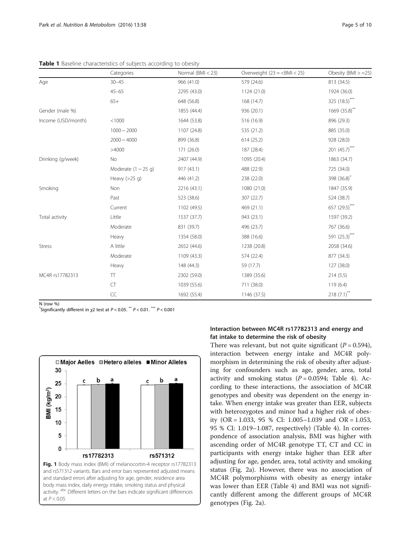|                    | Categories                       | Normal $(BMI < 23)$                                                                                                                                                                                                                                                                                                                                                                                                                        | Overweight $(23 = BMI < 25)$ | Obesity $(BMI > = 25)$ |
|--------------------|----------------------------------|--------------------------------------------------------------------------------------------------------------------------------------------------------------------------------------------------------------------------------------------------------------------------------------------------------------------------------------------------------------------------------------------------------------------------------------------|------------------------------|------------------------|
| Age                | $30 - 45$                        | 966 (41.0)                                                                                                                                                                                                                                                                                                                                                                                                                                 | 579 (24.6)                   | 813 (34.5)             |
|                    | $45 - 65$                        | 2295 (43.0)                                                                                                                                                                                                                                                                                                                                                                                                                                | 1124 (21.0)                  | 1924 (36.0)            |
|                    | $65+$                            | 648 (56.8)                                                                                                                                                                                                                                                                                                                                                                                                                                 | 168 (14.7)                   | 325 (18.5)***          |
| Gender (male %)    |                                  | 1855 (44.4)                                                                                                                                                                                                                                                                                                                                                                                                                                | 936 (20.1)                   | 1669 (35.8)**          |
| Income (USD/month) | < 1000                           | 1644 (53.8)                                                                                                                                                                                                                                                                                                                                                                                                                                | 516 (16.9)                   | 896 (29.3)             |
|                    | $1000 - 2000$                    | 1107 (24.8)                                                                                                                                                                                                                                                                                                                                                                                                                                | 535 (21.2)                   | 885 (35.0)             |
|                    | $2000 \sim 4000$                 | 899 (36.8)<br>614(25.2)<br>171 (26.0)<br>187 (28.4)<br>2407 (44.9)<br>1095 (20.4)<br>488 (22.9)<br>917 (43.1)<br>446 (41.2)<br>238 (22.0)<br>2216 (43.1)<br>1080 (21.0)<br>523 (38.6)<br>307 (22.7)<br>469 (21.1)<br>1102 (49.5)<br>1537 (37.7)<br>943 (23.1)<br>831 (39.7)<br>496 (23.7)<br>1354 (58.0)<br>388 (16.6)<br>2652 (44.6)<br>1238 (20.8)<br>1109 (43.3)<br>574 (22.4)<br>148 (44.3)<br>59 (17.7)<br>2302 (59.0)<br>1389 (35.6) | 928 (28.0)                   |                        |
|                    | >4000                            |                                                                                                                                                                                                                                                                                                                                                                                                                                            |                              | 201 (45.7)***          |
| Drinking (g/week)  | No                               |                                                                                                                                                                                                                                                                                                                                                                                                                                            |                              | 1863 (34.7)            |
|                    | Moderate $(1 \sim 25 \text{ q})$ |                                                                                                                                                                                                                                                                                                                                                                                                                                            |                              | 725 (34.0)             |
|                    | Heavy $(>25$ g)                  |                                                                                                                                                                                                                                                                                                                                                                                                                                            |                              | 398 (36.8)*            |
| Smoking            | Non                              |                                                                                                                                                                                                                                                                                                                                                                                                                                            |                              | 1847 (35.9)            |
|                    | Past                             |                                                                                                                                                                                                                                                                                                                                                                                                                                            |                              | 524 (38.7)             |
|                    | Current                          |                                                                                                                                                                                                                                                                                                                                                                                                                                            |                              | 657 (29.5)***          |
| Total activity     | Little                           |                                                                                                                                                                                                                                                                                                                                                                                                                                            |                              | 1597 (39.2)            |
|                    | Moderate                         |                                                                                                                                                                                                                                                                                                                                                                                                                                            |                              | 767 (36.6)             |
|                    | Heavy                            |                                                                                                                                                                                                                                                                                                                                                                                                                                            |                              | 591 (25.3)***          |
| <b>Stress</b>      | A little                         |                                                                                                                                                                                                                                                                                                                                                                                                                                            |                              | 2058 (34.6)            |
|                    | Moderate                         |                                                                                                                                                                                                                                                                                                                                                                                                                                            |                              | 877 (34.3)             |
|                    | Heavy                            |                                                                                                                                                                                                                                                                                                                                                                                                                                            |                              | 127 (38.0)             |
| MC4R rs17782313    | TT                               |                                                                                                                                                                                                                                                                                                                                                                                                                                            |                              | 214(5.5)               |
|                    | CT                               | 1039 (55.6)                                                                                                                                                                                                                                                                                                                                                                                                                                | 711 (38.0)                   | 119(6.4)               |
|                    | $\subset \subset$                | 1692 (55.4)                                                                                                                                                                                                                                                                                                                                                                                                                                | 1146 (37.5)                  | $218 (7.1)$ **         |

<span id="page-4-0"></span>Table 1 Baseline characteristics of subjects according to obesity

N (row %)

 $^*$ Significantly different in  $\chi$ 2 test at  $P < 0.05$ .  $^{**}$   $P < 0.01$ .  $^{***}$   $P < 0.001$ 



# Interaction between MC4R rs17782313 and energy and fat intake to determine the risk of obesity

There was relevant, but not quite significant ( $P = 0.594$ ), interaction between energy intake and MC4R polymorphism in determining the risk of obesity after adjusting for confounders such as age, gender, area, total activity and smoking status  $(P = 0.0594;$  Table [4](#page-6-0)). According to these interactions, the association of MC4R genotypes and obesity was dependent on the energy intake. When energy intake was greater than EER, subjects with heterozygotes and minor had a higher risk of obesity (OR = 1.033, 95 % CI: 1.005–1.039 and OR = 1.053, 95 % CI: 1.019–1.087, respectively) (Table [4](#page-6-0)). In correspondence of association analysis, BMI was higher with ascending order of MC4R genotype TT, CT and CC in participants with energy intake higher than EER after adjusting for age, gender, area, total activity and smoking status (Fig. [2a](#page-6-0)). However, there was no association of MC4R polymorphisms with obesity as energy intake was lower than EER (Table [4\)](#page-6-0) and BMI was not significantly different among the different groups of MC4R genotypes (Fig. [2a\)](#page-6-0).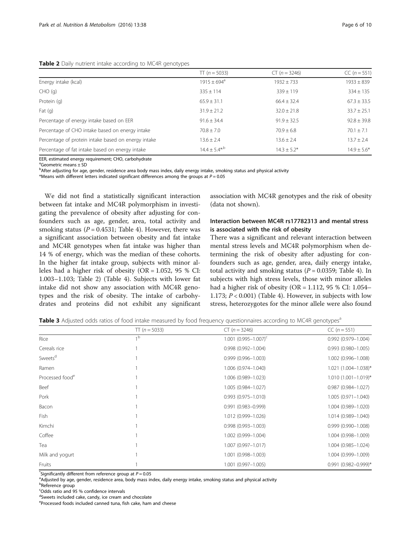<span id="page-5-0"></span>

|  |  | Table 2 Daily nutrient intake according to MC4R genotypes |  |  |
|--|--|-----------------------------------------------------------|--|--|
|  |  |                                                           |  |  |

|                                                     | $TT (n = 5033)$               | $CT (n = 3246)$  | $CC (n = 551)$  |
|-----------------------------------------------------|-------------------------------|------------------|-----------------|
| Energy intake (kcal)                                | $1915 \pm 694^{\circ}$        | $1932 \pm 733$   | $1933 \pm 839$  |
| $CHO$ (g)                                           | $335 \pm 114$                 | $339 \pm 119$    | $334 \pm 135$   |
| Protein (q)                                         | $65.9 \pm 31.1$               | $66.4 \pm 32.4$  | $67.3 \pm 33.5$ |
| Fat $(q)$                                           | $31.9 \pm 21.2$               | $32.0 \pm 21.8$  | $33.7 \pm 25.1$ |
| Percentage of energy intake based on EER            | $91.6 + 34.4$                 | $91.9 \pm 32.5$  | $92.8 \pm 39.8$ |
| Percentage of CHO intake based on energy intake     | $70.8 \pm 7.0$                | $70.9 + 6.8$     | $70.1 \pm 7.1$  |
| Percentage of protein intake based on energy intake | $13.6 \pm 2.4$                | $13.6 \pm 2.4$   | $13.7 \pm 2.4$  |
| Percentage of fat intake based on energy intake     | $14.4 \pm 5.4$ <sup>*/b</sup> | $14.3 \pm 5.2^*$ | $14.9 \pm 5.6*$ |

EER, estimated energy requirement; CHO, carbohydrate

a Geometric means ± SD

bAfter adjusting for age, gender, residence area body mass index, daily energy intake, smoking status and physical activity

\*Means with different letters indicated significant differences among the groups at  $P = 0.05$ 

We did not find a statistically significant interaction between fat intake and MC4R polymorphism in investigating the prevalence of obesity after adjusting for confounders such as age, gender, area, total activity and smoking status ( $P = 0.4531$ ; Table [4\)](#page-6-0). However, there was a significant association between obesity and fat intake and MC4R genotypes when fat intake was higher than 14 % of energy, which was the median of these cohorts. In the higher fat intake group, subjects with minor alleles had a higher risk of obesity (OR = 1.052, 95 % CI: 1.003–1.103; Table 2) (Table [4\)](#page-6-0). Subjects with lower fat intake did not show any association with MC4R genotypes and the risk of obesity. The intake of carbohydrates and proteins did not exhibit any significant association with MC4R genotypes and the risk of obesity (data not shown).

# Interaction between MC4R rs17782313 and mental stress is associated with the risk of obesity

There was a significant and relevant interaction between mental stress levels and MC4R polymorphism when determining the risk of obesity after adjusting for confounders such as age, gender, area, daily energy intake, total activity and smoking status ( $P = 0.0359$ ; Table [4](#page-6-0)). In subjects with high stress levels, those with minor alleles had a higher risk of obesity (OR = 1.112, 95 % CI: 1.054– 1.173;  $P < 0.001$ ) (Table [4](#page-6-0)). However, in subjects with low stress, heterozygotes for the minor allele were also found

Table 3 Adjusted odds ratios of food intake measured by food frequency questionnaires according to MC4R genotypes<sup>a</sup>

|                             | $TT (n = 5033)$ | $CT (n = 3246)$               | $CC (n = 551)$           |
|-----------------------------|-----------------|-------------------------------|--------------------------|
| Rice                        | 1 <sub>b</sub>  | $1.001$ $(0.995 - 1.007)^{c}$ | $0.992(0.979 - 1.004)$   |
| Cereals rice                |                 | $0.998(0.992 - 1.004)$        | $0.993(0.980 - 1.005)$   |
| Sweets <sup>d</sup>         |                 | 0.999 (0.996-1.003)           | 1.002 (0.996-1.008)      |
| Ramen                       |                 | 1.006 (0.974-1.040)           | 1.021 (1.004-1.038)*     |
| Processed food <sup>e</sup> |                 | 1.006 (0.989-1.023)           | $1.010(1.001 - 1.019)^*$ |
| Beef                        |                 | 1.005 (0.984-1.027)           | $0.987(0.984 - 1.027)$   |
| Pork                        |                 | $0.993(0.975 - 1.010)$        | $1.005(0.971 - 1.040)$   |
| Bacon                       |                 | $0.991(0.983 - 0.999)$        | 1.004 (0.989-1.020)      |
| Fish                        |                 | 1.012 (0.999-1.026)           | 1.014 (0.989-1.040)      |
| Kimchi                      |                 | $0.998(0.993 - 1.003)$        | $0.999(0.990 - 1.008)$   |
| Coffee                      |                 | 1.002 (0.999-1.004)           | 1.004 (0.998-1.009)      |
| Tea                         |                 | 1.007 (0.997-1.017)           | 1.004 (0.985-1.024)      |
| Milk and yogurt             |                 | 1.001 (0.998-1.003)           | 1.004 (0.999-1.009)      |
| Fruits                      |                 | 1.001 (0.997-1.005)           | $0.991$ (0.982-0.999)*   |

"Significantly different from reference group at  $P = 0.05$ <br>and iusted by age, gonder residence area, body mass in

<sup>a</sup>Adjusted by age, gender, residence area, body mass index, daily energy intake, smoking status and physical activity

<sup>b</sup>Reference group

c Odds ratio and 95 % confidence intervals

<sup>d</sup>Sweets included cake, candy, ice cream and chocolate

e Processed foods included canned tuna, fish cake, ham and cheese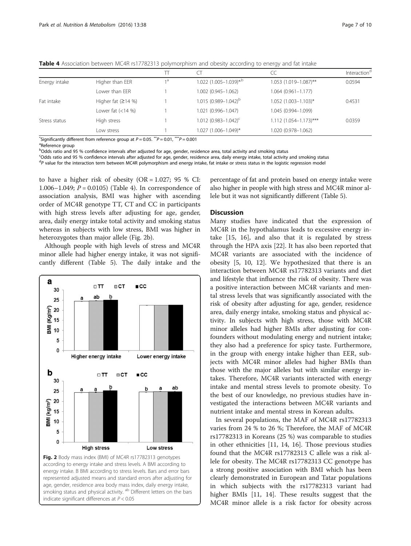|               |                     |     |                                      | CC                            | Interaction <sup>d</sup> |
|---------------|---------------------|-----|--------------------------------------|-------------------------------|--------------------------|
| Energy intake | Higher than EER     | 1 a | $1.022$ (1.005-1.039) <sup>*,b</sup> | 1.053 (1.019-1.087)**         | 0.0594                   |
|               | Lower than EER      |     | $1.002(0.945 - 1.062)$               | 1.064 (0.961-1.177)           |                          |
| Fat intake    | Higher fat $(214%)$ |     | $1.015(0.989 - 1.042)^{b}$           | 1.052 (1.003-1.103)*          | 0.4531                   |
|               | Lower fat $(<14%$ ) |     | 1.021 (0.996-1.047)                  | 1.045 (0.994-1.099)           |                          |
| Stress status | High stress         |     | $1.012$ $(0.983 - 1.042)^c$          | $1.112$ $(1.054 - 1.173)$ *** | 0.0359                   |
|               | Low stress          |     | 1.027 (1.006-1.049)*                 | 1.020 (0.978-1.062)           |                          |

<span id="page-6-0"></span>**Table 4** Association between MC4R rs17782313 polymorphism and obesity according to energy and fat intake

\*Significantly different from reference group at  $P = 0.05$ .  $^{**}P = 0.01$ ,  $^{***}P = 0.001$ 

<sup>a</sup>Reference group

b<br>Odds ratio and 95 % confidence intervals after adjusted for age, gender, residence area, total activity and smoking status

c Odds ratio and 95 % confidence intervals after adjusted for age, gender, residence area, daily energy intake, total activity and smoking status

<sup>d</sup>P value for the interaction term between MC4R polymorphism and energy intake, fat intake or stress status in the logistic regression model

to have a higher risk of obesity  $(OR = 1.027; 95 %$  CI: 1.006–1.049;  $P = 0.0105$ ) (Table 4). In correspondence of association analysis, BMI was higher with ascending order of MC4R genotype TT, CT and CC in participants with high stress levels after adjusting for age, gender, area, daily energy intake total activity and smoking status whereas in subjects with low stress, BMI was higher in heterozygotes than major allele (Fig. 2b).

Although people with high levels of stress and MC4R minor allele had higher energy intake, it was not significantly different (Table [5\)](#page-7-0). The daily intake and the



percentage of fat and protein based on energy intake were also higher in people with high stress and MC4R minor allele but it was not significantly different (Table [5\)](#page-7-0).

#### **Discussion**

Many studies have indicated that the expression of MC4R in the hypothalamus leads to excessive energy intake [[15](#page-9-0), [16](#page-9-0)], and also that it is regulated by stress through the HPA axis [\[22\]](#page-9-0). It has also been reported that MC4R variants are associated with the incidence of obesity [[5, 10, 12](#page-9-0)]. We hypothesized that there is an interaction between MC4R rs17782313 variants and diet and lifestyle that influence the risk of obesity. There was a positive interaction between MC4R variants and mental stress levels that was significantly associated with the risk of obesity after adjusting for age, gender, residence area, daily energy intake, smoking status and physical activity. In subjects with high stress, those with MC4R minor alleles had higher BMIs after adjusting for confounders without modulating energy and nutrient intake; they also had a preference for spicy taste. Furthermore, in the group with energy intake higher than EER, subjects with MC4R minor alleles had higher BMIs than those with the major alleles but with similar energy intakes. Therefore, MC4R variants interacted with energy intake and mental stress levels to promote obesity. To the best of our knowledge, no previous studies have investigated the interactions between MC4R variants and nutrient intake and mental stress in Korean adults.

In several populations, the MAF of MC4R rs17782313 varies from 24 % to 26 %; Therefore, the MAF of MC4R rs17782313 in Koreans (25 %) was comparable to studies in other ethnicities [\[11](#page-9-0), [14](#page-9-0), [16](#page-9-0)]. Those previous studies found that the MC4R rs17782313 C allele was a risk allele for obesity. The MC4R rs17782313 CC genotype has a strong positive association with BMI which has been clearly demonstrated in European and Tatar populations in which subjects with the rs17782313 variant had higher BMIs [\[11](#page-9-0), [14\]](#page-9-0). These results suggest that the MC4R minor allele is a risk factor for obesity across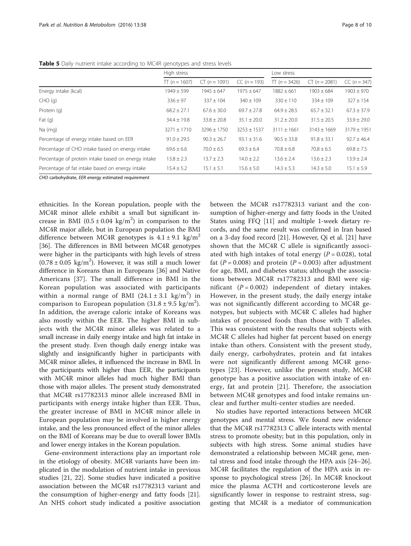|                                                     | High stress     |                 |                 | Low stress       |                 |                 |
|-----------------------------------------------------|-----------------|-----------------|-----------------|------------------|-----------------|-----------------|
|                                                     | $TT (n = 1607)$ | $CT (n = 1091)$ | $CC (n = 193)$  | $\Pi$ (n = 3426) | $CT (n = 2081)$ | $CC (n = 347)$  |
| Energy intake (kcal)                                | $1949 \pm 599$  | $1945 \pm 647$  | $1975 \pm 647$  | $1882 \pm 661$   | $1903 \pm 684$  | $1903 \pm 970$  |
| CHO(q)                                              | $336 \pm 97$    | $337 \pm 104$   | $340 \pm 109$   | $330 \pm 110$    | $334 \pm 109$   | $327 \pm 154$   |
| Protein (q)                                         | $68.2 \pm 27.1$ | $67.6 \pm 30.0$ | $69.7 \pm 27.8$ | $64.9 \pm 28.5$  | $65.7 \pm 32.1$ | $67.3 \pm 37.9$ |
| Fat $(q)$                                           | $34.4 \pm 19.8$ | $33.8 \pm 20.8$ | $35.1 \pm 20.0$ | $31.2 \pm 20.0$  | $31.5 \pm 20.5$ | $33.9 \pm 29.0$ |
| Na (mg)                                             | $3271 + 1710$   | $3296 + 1750$   | $3253 \pm 1537$ | $3111 \pm 1661$  | $3143 \pm 1669$ | $3179 \pm 1951$ |
| Percentage of energy intake based on EER            | $91.0 \pm 29.5$ | $90.3 \pm 26.7$ | $93.1 \pm 31.6$ | $90.5 \pm 33.8$  | $91.8 \pm 33.1$ | $92.7 \pm 46.4$ |
| Percentage of CHO intake based on energy intake     | $69.6 \pm 6.6$  | $70.0 \pm 6.5$  | $69.3 \pm 6.4$  | $70.8 \pm 6.8$   | $70.8 \pm 6.5$  | $69.8 \pm 7.5$  |
| Percentage of protein intake based on energy intake | $13.8 \pm 2.3$  | $13.7 \pm 2.3$  | $14.0 \pm 2.2$  | $13.6 \pm 2.4$   | $13.6 \pm 2.3$  | $13.9 \pm 2.4$  |
| Percentage of fat intake based on energy intake     | $15.4 \pm 5.2$  | $15.1 \pm 5.1$  | $15.6 \pm 5.0$  | $14.3 \pm 5.3$   | $14.3 \pm 5.0$  | $15.1 \pm 5.9$  |

<span id="page-7-0"></span>Table 5 Daily nutrient intake according to MC4R genotypes and stress levels

CHO carbohydrate, EER energy estimated requirement

ethnicities. In the Korean population, people with the MC4R minor allele exhibit a small but significant increase in BMI  $(0.5 \pm 0.04 \text{ kg/m}^2)$  in comparison to the MC4R major allele, but in European population the BMI difference between MC4R genotypes is  $4.1 \pm 9.1$  kg/m<sup>2</sup> [[36\]](#page-9-0). The differences in BMI between MC4R genotypes were higher in the participants with high levels of stress  $(0.78 \pm 0.05 \text{ kg/m}^2)$ . However, it was still a much lower difference in Koreans than in Europeans [[36](#page-9-0)] and Native Americans [\[37](#page-9-0)]. The small difference in BMI in the Korean population was associated with participants within a normal range of BMI  $(24.1 \pm 3.1 \text{ kg/m}^2)$  in comparison to European population  $(31.8 \pm 9.5 \text{ kg/m}^2)$ . In addition, the average caloric intake of Koreans was also mostly within the EER. The higher BMI in subjects with the MC4R minor alleles was related to a small increase in daily energy intake and high fat intake in the present study. Even though daily energy intake was slightly and insignificantly higher in participants with MC4R minor alleles, it influenced the increase in BMI. In the participants with higher than EER, the participants with MC4R minor alleles had much higher BMI than those with major alleles. The present study demonstrated that MC4R rs17782313 minor allele increased BMI in participants with energy intake higher than EER. Thus, the greater increase of BMI in MC4R minor allele in European population may be involved in higher energy intake, and the less pronounced effect of the minor alleles on the BMI of Koreans may be due to overall lower BMIs and lower energy intakes in the Korean population.

Gene-environment interactions play an important role in the etiology of obesity. MC4R variants have been implicated in the modulation of nutrient intake in previous studies [\[21, 22](#page-9-0)]. Some studies have indicated a positive association between the MC4R rs17782313 variant and the consumption of higher-energy and fatty foods [\[21](#page-9-0)]. An NHS cohort study indicated a positive association between the MC4R rs17782313 variant and the consumption of higher-energy and fatty foods in the United States using FFQ [\[11](#page-9-0)] and multiple 1-week dietary records, and the same result was confirmed in Iran based on a 3-day food record [[21](#page-9-0)]. However, Qi et al. [[21\]](#page-9-0) have shown that the MC4R C allele is significantly associated with high intakes of total energy ( $P = 0.028$ ), total fat ( $P = 0.008$ ) and protein ( $P = 0.003$ ) after adjustment for age, BMI, and diabetes status; although the associations between MC4R rs17782313 and BMI were significant  $(P = 0.002)$  independent of dietary intakes. However, in the present study, the daily energy intake was not significantly different according to MC4R genotypes, but subjects with MC4R C alleles had higher intakes of processed foods than those with T alleles. This was consistent with the results that subjects with MC4R C alleles had higher fat percent based on energy intake than others. Consistent with the present study, daily energy, carbohydrates, protein and fat intakes were not significantly different among MC4R genotypes [\[23](#page-9-0)]. However, unlike the present study, MC4R genotype has a positive association with intake of energy, fat and protein [[21\]](#page-9-0). Therefore, the association between MC4R genotypes and food intake remains unclear and further multi-center studies are needed.

No studies have reported interactions between MC4R genotypes and mental stress. We found new evidence that the MC4R rs17782313 C allele interacts with mental stress to promote obesity; but in this population, only in subjects with high stress. Some animal studies have demonstrated a relationship between MC4R gene, mental stress and food intake through the HPA axis [[24](#page-9-0)–[26](#page-9-0)]. MC4R facilitates the regulation of the HPA axis in response to psychological stress [\[26](#page-9-0)]. In MC4R knockout mice the plasma ACTH and corticosterone levels are significantly lower in response to restraint stress, suggesting that MC4R is a mediator of communication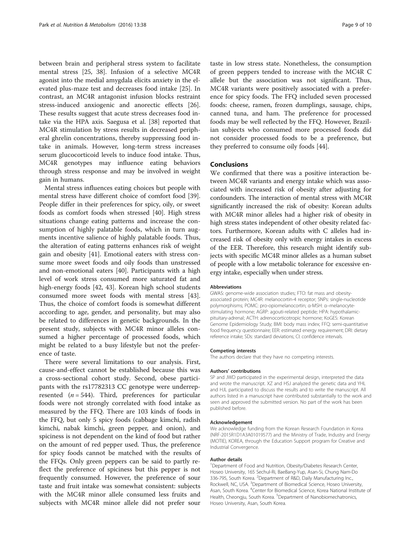between brain and peripheral stress system to facilitate mental stress [[25, 38](#page-9-0)]. Infusion of a selective MC4R agonist into the medial amygdala elicits anxiety in the elevated plus-maze test and decreases food intake [\[25](#page-9-0)]. In contrast, an MC4R antagonist infusion blocks restraint stress-induced anxiogenic and anorectic effects [\[26](#page-9-0)]. These results suggest that acute stress decreases food intake via the HPA axis. Saegusa et al. [[38\]](#page-9-0) reported that MC4R stimulation by stress results in decreased peripheral ghrelin concentrations, thereby suppressing food intake in animals. However, long-term stress increases serum glucocorticoid levels to induce food intake. Thus, MC4R genotypes may influence eating behaviors through stress response and may be involved in weight gain in humans.

Mental stress influences eating choices but people with mental stress have different choice of comfort food [\[39](#page-9-0)]. People differ in their preferences for spicy, oily, or sweet foods as comfort foods when stressed [\[40](#page-9-0)]. High stress situations change eating patterns and increase the consumption of highly palatable foods, which in turn augments incentive salience of highly palatable foods. Thus, the alteration of eating patterns enhances risk of weight gain and obesity [[41\]](#page-9-0). Emotional eaters with stress consume more sweet foods and oily foods than unstressed and non-emotional eaters [\[40\]](#page-9-0). Participants with a high level of work stress consumed more saturated fat and high-energy foods [[42](#page-9-0), [43\]](#page-9-0). Korean high school students consumed more sweet foods with mental stress [\[43](#page-9-0)]. Thus, the choice of comfort foods is somewhat different according to age, gender, and personality, but may also be related to differences in genetic backgrounds. In the present study, subjects with MC4R minor alleles consumed a higher percentage of processed foods, which might be related to a busy lifestyle but not the preference of taste.

There were several limitations to our analysis. First, cause-and-effect cannot be established because this was a cross-sectional cohort study. Second, obese participants with the rs17782313 CC genotype were underrepresented  $(n = 544)$ . Third, preferences for particular foods were not strongly correlated with food intake as measured by the FFQ. There are 103 kinds of foods in the FFQ, but only 5 spicy foods (cabbage kimchi, radish kimchi, nabak kimchi, green pepper, and onion), and spiciness is not dependent on the kind of food but rather on the amount of red pepper used. Thus, the preference for spicy foods cannot be matched with the results of the FFQs. Only green peppers can be said to partly reflect the preference of spiciness but this pepper is not frequently consumed. However, the preference of sour taste and fruit intake was somewhat consistent: subjects with the MC4R minor allele consumed less fruits and subjects with MC4R minor allele did not prefer sour taste in low stress state. Nonetheless, the consumption of green peppers tended to increase with the MC4R C allele but the association was not significant. Thus, MC4R variants were positively associated with a preference for spicy foods. The FFQ included seven processed foods: cheese, ramen, frozen dumplings, sausage, chips, canned tuna, and ham. The preference for processed foods may be well reflected by the FFQ. However, Brazilian subjects who consumed more processed foods did not consider processed foods to be a preference, but they preferred to consume oily foods [[44\]](#page-9-0).

### Conclusions

We confirmed that there was a positive interaction between MC4R variants and energy intake which was associated with increased risk of obesity after adjusting for confounders. The interaction of mental stress with MC4R significantly increased the risk of obesity: Korean adults with MC4R minor alleles had a higher risk of obesity in high stress states independent of other obesity related factors. Furthermore, Korean adults with C alleles had increased risk of obesity only with energy intakes in excess of the EER. Therefore, this research might identify subjects with specific MC4R minor alleles as a human subset of people with a low metabolic tolerance for excessive energy intake, especially when under stress.

#### Abbreviations

GWAS: genome-wide association studies; FTO: fat mass and obesityassociated protein; MC4R: melanocortin-4 receptor; SNPs: single-nucleotide polymorphisms; POMC: pro-opiomelanocortin; α-MSH: α–melanocytestimulating hormone; AGRP: agouti-related peptide; HPA: hypothalamicpituitary-adrenal; ACTH: adrenocorticotropic hormone; KoGES: Korean Genome Epidemiology Study; BMI: body mass index; FFQ: semi-quantitative food frequency questionnaire; EER: estimated energy requirement; DRI: dietary reference intake; SDs: standard deviations; CI: confidence intervals.

#### Competing interests

The authors declare that they have no competing interests.

#### Authors' contributions

SP and JWD participated in the experimental design, interpreted the data and wrote the manuscript. XZ and HSJ analyzed the genetic data and YHL and HJL participated to discuss the results and to write the manuscript. All authors listed in a manuscript have contributed substantially to the work and seen and approved the submitted version. No part of the work has been published before.

#### Acknowledgement

We acknowledge funding from the Korean Research Foundation in Korea (NRF-2015R1D1A3A01019577) and the Ministry of Trade, Industry and Energy (MOTIE), KOREA, through the Education Support program for Creative and Industrial Convergence.

#### Author details

<sup>1</sup>Department of Food and Nutrition, Obesity/Diabetes Research Center, Hoseo University, 165 Sechul-Ri, BaeBang-Yup, Asan-Si, Chung Nam-Do 336-795, South Korea. <sup>2</sup>Department of R&D, Daily Manufacturing Inc. Rockwell, NC, USA. <sup>3</sup>Department of Biomedical Science, Hoseo University, Asan, South Korea. <sup>4</sup>Center for Biomedical Science, Korea National Institute of Health, Cheongju, South Korea. <sup>5</sup>Department of Nanobiomechatronics, Hoseo University, Asan, South Korea.